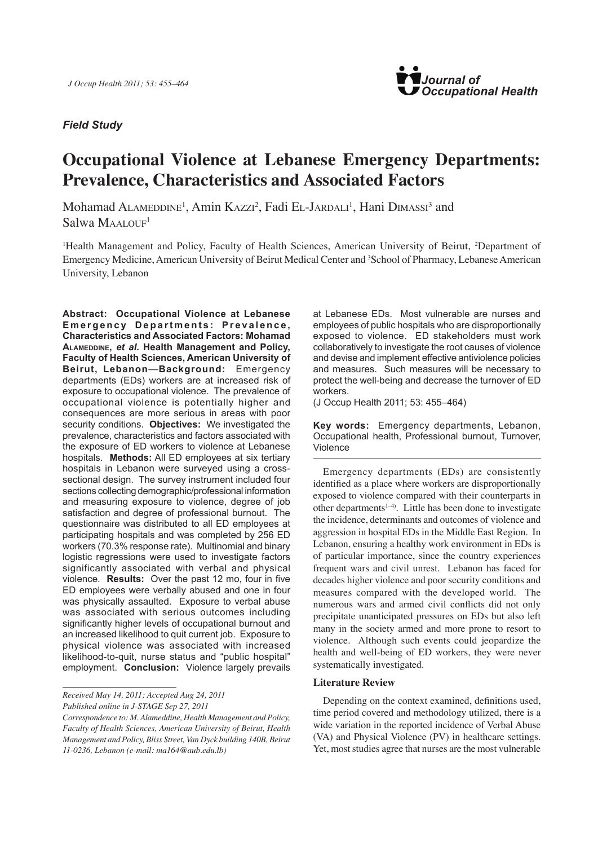# *Field Study*



# **Occupational Violence at Lebanese Emergency Departments: Prevalence, Characteristics and Associated Factors**

Mohamad ALAMEDDINE<sup>1</sup>, Amin KAzzı<sup>2</sup>, Fadi El-JARDALI<sup>1</sup>, Hani DIMASSI<sup>3</sup> and  $Salwa MAALOUF<sup>1</sup>$ 

<sup>1</sup>Health Management and Policy, Faculty of Health Sciences, American University of Beirut, <sup>2</sup>Department of Emergency Medicine, American University of Beirut Medical Center and <sup>3</sup>School of Pharmacy, Lebanese American University, Lebanon

**Abstract: Occupational Violence at Lebanese**  Emergency Departments: Prevalence, **Characteristics and Associated Factors: Mohamad Alameddine,** *et al***. Health Management and Policy, Faculty of Health Sciences, American University of Beirut, Lebanon**—**Background:** Emergency departments (EDs) workers are at increased risk of exposure to occupational violence. The prevalence of occupational violence is potentially higher and consequences are more serious in areas with poor security conditions. **Objectives:** We investigated the prevalence, characteristics and factors associated with the exposure of ED workers to violence at Lebanese hospitals. **Methods:** All ED employees at six tertiary hospitals in Lebanon were surveyed using a crosssectional design. The survey instrument included four sections collecting demographic/professional information and measuring exposure to violence, degree of job satisfaction and degree of professional burnout. The questionnaire was distributed to all ED employees at participating hospitals and was completed by 256 ED workers (70.3% response rate). Multinomial and binary logistic regressions were used to investigate factors significantly associated with verbal and physical violence. **Results:** Over the past 12 mo, four in five ED employees were verbally abused and one in four was physically assaulted. Exposure to verbal abuse was associated with serious outcomes including significantly higher levels of occupational burnout and an increased likelihood to quit current job. Exposure to physical violence was associated with increased likelihood-to-quit, nurse status and "public hospital" employment. **Conclusion:** Violence largely prevails

*Received May 14, 2011; Accepted Aug 24, 2011*

*Published online in J-STAGE Sep 27, 2011*

at Lebanese EDs. Most vulnerable are nurses and employees of public hospitals who are disproportionally exposed to violence. ED stakeholders must work collaboratively to investigate the root causes of violence and devise and implement effective antiviolence policies and measures. Such measures will be necessary to protect the well-being and decrease the turnover of ED workers.

(J Occup Health 2011; 53: 455–464)

**Key words:** Emergency departments, Lebanon, Occupational health, Professional burnout, Turnover, Violence

Emergency departments (EDs) are consistently identified as a place where workers are disproportionally exposed to violence compared with their counterparts in other departments1–4). Little has been done to investigate the incidence, determinants and outcomes of violence and aggression in hospital EDs in the Middle East Region. In Lebanon, ensuring a healthy work environment in EDs is of particular importance, since the country experiences frequent wars and civil unrest. Lebanon has faced for decades higher violence and poor security conditions and measures compared with the developed world. The numerous wars and armed civil conflicts did not only precipitate unanticipated pressures on EDs but also left many in the society armed and more prone to resort to violence. Although such events could jeopardize the health and well-being of ED workers, they were never systematically investigated.

## **Literature Review**

Depending on the context examined, definitions used, time period covered and methodology utilized, there is a wide variation in the reported incidence of Verbal Abuse (VA) and Physical Violence (PV) in healthcare settings. Yet, most studies agree that nurses are the most vulnerable

*Correspondence to: M. Alameddine, Health Management and Policy, Faculty of Health Sciences, American University of Beirut, Health Management and Policy, Bliss Street, Van Dyck building 140B, Beirut 11-0236, Lebanon (e-mail: ma164@aub.edu.lb)*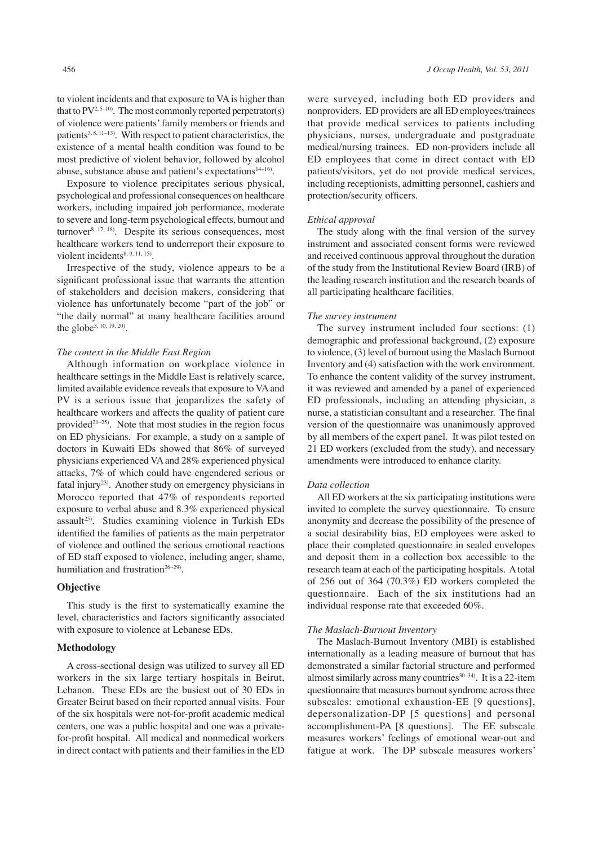to violent incidents and that exposure to VA is higher than that to  $PV^{2.5-10}$ . The most commonly reported perpetrator(s) of violence were patients' family members or friends and patients<sup>3, 8, 11-13)</sup>. With respect to patient characteristics, the existence of a mental health condition was found to be most predictive of violent behavior, followed by alcohol abuse, substance abuse and patient's expectations<sup>14–16</sup>).

Exposure to violence precipitates serious physical, psychological and professional consequences on healthcare workers, including impaired job performance, moderate to severe and long-term psychological effects, burnout and turnover<sup>8, 17, 18)</sup>. Despite its serious consequences, most healthcare workers tend to underreport their exposure to violent incidents<sup>8, 9, 11, 15</sup>).

Irrespective of the study, violence appears to be a significant professional issue that warrants the attention of stakeholders and decision makers, considering that violence has unfortunately become "part of the job" or "the daily normal" at many healthcare facilities around the globe3, 10, 19, 20).

## *The context in the Middle East Region*

Although information on workplace violence in healthcare settings in the Middle East is relatively scarce, limited available evidence reveals that exposure to VA and PV is a serious issue that jeopardizes the safety of healthcare workers and affects the quality of patient care provided $2^{1-25}$ . Note that most studies in the region focus on ED physicians. For example, a study on a sample of doctors in Kuwaiti EDs showed that 86% of surveyed physicians experienced VA and 28% experienced physical attacks, 7% of which could have engendered serious or fatal injury23). Another study on emergency physicians in Morocco reported that 47% of respondents reported exposure to verbal abuse and 8.3% experienced physical assault<sup>25)</sup>. Studies examining violence in Turkish EDs identified the families of patients as the main perpetrator of violence and outlined the serious emotional reactions of ED staff exposed to violence, including anger, shame, humiliation and frustration<sup>26-29)</sup>.

# **Objective**

This study is the first to systematically examine the level, characteristics and factors significantly associated with exposure to violence at Lebanese EDs.

## **Methodology**

A cross-sectional design was utilized to survey all ED workers in the six large tertiary hospitals in Beirut, Lebanon. These EDs are the busiest out of 30 EDs in Greater Beirut based on their reported annual visits. Four of the six hospitals were not-for-profit academic medical centers, one was a public hospital and one was a privatefor-profit hospital. All medical and nonmedical workers in direct contact with patients and their families in the ED were surveyed, including both ED providers and nonproviders. ED providers are all ED employees/trainees that provide medical services to patients including physicians, nurses, undergraduate and postgraduate medical/nursing trainees. ED non-providers include all ED employees that come in direct contact with ED patients/visitors, yet do not provide medical services, including receptionists, admitting personnel, cashiers and protection/security officers.

#### *Ethical approval*

The study along with the final version of the survey instrument and associated consent forms were reviewed and received continuous approval throughout the duration of the study from the Institutional Review Board (IRB) of the leading research institution and the research boards of all participating healthcare facilities.

#### *The survey instrument*

The survey instrument included four sections: (1) demographic and professional background, (2) exposure to violence, (3) level of burnout using the Maslach Burnout Inventory and (4) satisfaction with the work environment. To enhance the content validity of the survey instrument, it was reviewed and amended by a panel of experienced ED professionals, including an attending physician, a nurse, a statistician consultant and a researcher. The final version of the questionnaire was unanimously approved by all members of the expert panel. It was pilot tested on 21 ED workers (excluded from the study), and necessary amendments were introduced to enhance clarity.

#### *Data collection*

All ED workers at the six participating institutions were invited to complete the survey questionnaire. To ensure anonymity and decrease the possibility of the presence of a social desirability bias, ED employees were asked to place their completed questionnaire in sealed envelopes and deposit them in a collection box accessible to the research team at each of the participating hospitals. A total of 256 out of 364 (70.3%) ED workers completed the questionnaire. Each of the six institutions had an individual response rate that exceeded 60%.

#### *The Maslach-Burnout Inventory*

The Maslach-Burnout Inventory (MBI) is established internationally as a leading measure of burnout that has demonstrated a similar factorial structure and performed almost similarly across many countries $30-34$ ). It is a 22-item questionnaire that measures burnout syndrome across three subscales: emotional exhaustion-EE [9 questions], depersonalization-DP [5 questions] and personal accomplishment-PA [8 questions]. The EE subscale measures workers' feelings of emotional wear-out and fatigue at work. The DP subscale measures workers'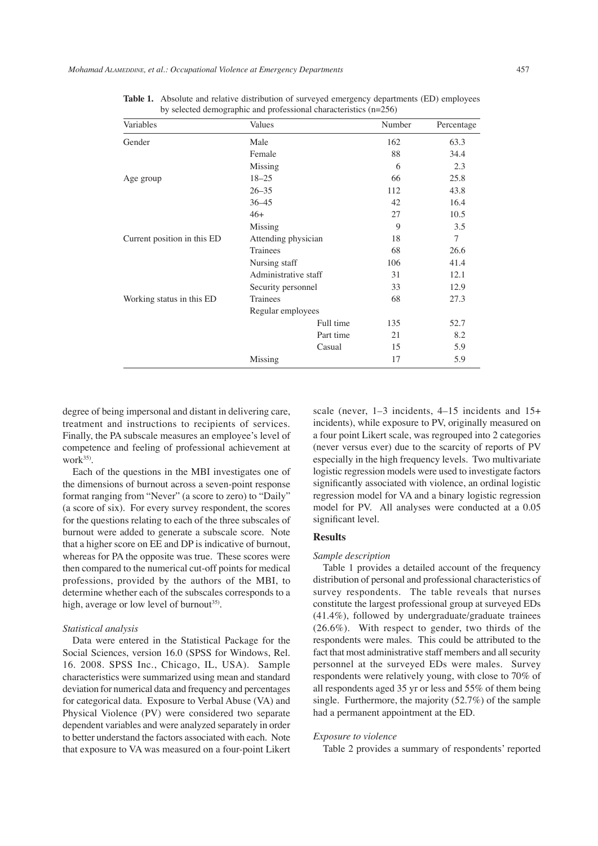| Variables                   | Values               |           | Number | Percentage |
|-----------------------------|----------------------|-----------|--------|------------|
| Gender                      | Male                 |           | 162    | 63.3       |
|                             | Female               |           | 88     | 34.4       |
|                             | Missing              |           | 6      | 2.3        |
| Age group                   | $18 - 25$            |           | 66     | 25.8       |
|                             | $26 - 35$            |           | 112    | 43.8       |
|                             | $36 - 45$            |           |        | 16.4       |
|                             | $46+$                |           |        | 10.5       |
|                             | Missing              |           | 9      | 3.5        |
| Current position in this ED | Attending physician  |           | 18     | $\tau$     |
|                             | Trainees             |           | 68     | 26.6       |
|                             | Nursing staff        |           | 106    | 41.4       |
|                             | Administrative staff |           | 31     | 12.1       |
|                             | Security personnel   |           | 33     | 12.9       |
| Working status in this ED   | Trainees             |           | 68     | 27.3       |
|                             | Regular employees    |           |        |            |
|                             |                      | Full time | 135    | 52.7       |
|                             |                      | Part time | 21     | 8.2        |
|                             |                      | Casual    | 15     | 5.9        |
|                             | Missing              |           | 17     | 5.9        |

Table 1. Absolute and relative distribution of surveyed emergency departments (ED) employees by selected demographic and professional characteristics (n=256)

degree of being impersonal and distant in delivering care, treatment and instructions to recipients of services. Finally, the PA subscale measures an employee's level of competence and feeling of professional achievement at work $35$ ).

Each of the questions in the MBI investigates one of the dimensions of burnout across a seven-point response format ranging from "Never" (a score to zero) to "Daily" (a score of six). For every survey respondent, the scores for the questions relating to each of the three subscales of burnout were added to generate a subscale score. Note that a higher score on EE and DP is indicative of burnout, whereas for PA the opposite was true. These scores were then compared to the numerical cut-off points for medical professions, provided by the authors of the MBI, to determine whether each of the subscales corresponds to a high, average or low level of burnout<sup>35)</sup>.

#### *Statistical analysis*

Data were entered in the Statistical Package for the Social Sciences, version 16.0 (SPSS for Windows, Rel. 16. 2008. SPSS Inc., Chicago, IL, USA). Sample characteristics were summarized using mean and standard deviation for numerical data and frequency and percentages for categorical data. Exposure to Verbal Abuse (VA) and Physical Violence (PV) were considered two separate dependent variables and were analyzed separately in order to better understand the factors associated with each. Note that exposure to VA was measured on a four-point Likert

scale (never, 1–3 incidents, 4–15 incidents and 15+ incidents), while exposure to PV, originally measured on a four point Likert scale, was regrouped into 2 categories (never versus ever) due to the scarcity of reports of PV especially in the high frequency levels. Two multivariate logistic regression models were used to investigate factors significantly associated with violence, an ordinal logistic regression model for VA and a binary logistic regression model for PV. All analyses were conducted at a 0.05 significant level.

## **Results**

#### *Sample description*

Table 1 provides a detailed account of the frequency distribution of personal and professional characteristics of survey respondents. The table reveals that nurses constitute the largest professional group at surveyed EDs (41.4%), followed by undergraduate/graduate trainees (26.6%). With respect to gender, two thirds of the respondents were males. This could be attributed to the fact that most administrative staff members and all security personnel at the surveyed EDs were males. Survey respondents were relatively young, with close to 70% of all respondents aged 35 yr or less and 55% of them being single. Furthermore, the majority (52.7%) of the sample had a permanent appointment at the ED.

#### *Exposure to violence*

Table 2 provides a summary of respondents' reported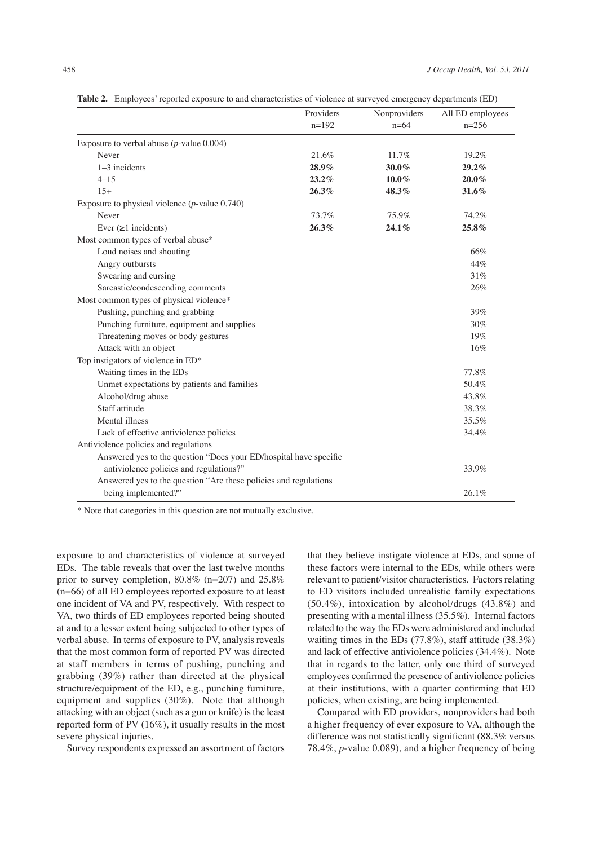|                                                                   | Providers | Nonproviders | All ED employees |  |
|-------------------------------------------------------------------|-----------|--------------|------------------|--|
|                                                                   | $n=192$   | $n=64$       | $n=256$          |  |
| Exposure to verbal abuse $(p$ -value 0.004)                       |           |              |                  |  |
| Never                                                             | 21.6%     | 11.7%        | 19.2%            |  |
| $1-3$ incidents                                                   | $28.9\%$  | $30.0\%$     | $29.2\%$         |  |
| $4 - 15$                                                          | $23.2\%$  | $10.0\%$     | $20.0\%$         |  |
| $15+$                                                             | 26.3%     | 48.3%        | 31.6%            |  |
| Exposure to physical violence $(p$ -value 0.740)                  |           |              |                  |  |
| Never                                                             | 73.7%     | 75.9%        | 74.2%            |  |
| Ever $(\geq 1$ incidents)                                         | 26.3%     | 24.1%        | 25.8%            |  |
| Most common types of verbal abuse*                                |           |              |                  |  |
| Loud noises and shouting                                          |           |              | 66%              |  |
| Angry outbursts                                                   |           |              | 44%              |  |
| Swearing and cursing                                              |           |              | 31%              |  |
| Sarcastic/condescending comments                                  |           |              | 26%              |  |
| Most common types of physical violence*                           |           |              |                  |  |
| Pushing, punching and grabbing                                    |           |              | 39%              |  |
| Punching furniture, equipment and supplies                        |           |              | 30%              |  |
| Threatening moves or body gestures                                |           |              | 19%              |  |
| Attack with an object                                             |           |              | 16%              |  |
| Top instigators of violence in ED*                                |           |              |                  |  |
| Waiting times in the EDs                                          |           |              | 77.8%            |  |
| Unmet expectations by patients and families                       |           |              | 50.4%            |  |
| Alcohol/drug abuse                                                |           |              | 43.8%            |  |
| Staff attitude                                                    |           |              | 38.3%            |  |
| Mental illness                                                    |           |              | 35.5%            |  |
| Lack of effective antiviolence policies                           |           |              | 34.4%            |  |
| Antiviolence policies and regulations                             |           |              |                  |  |
| Answered yes to the question "Does your ED/hospital have specific |           |              |                  |  |
| antiviolence policies and regulations?"                           |           |              | 33.9%            |  |
| Answered yes to the question "Are these policies and regulations  |           |              |                  |  |
| being implemented?"                                               |           |              | 26.1%            |  |

**Table 2.** Employees' reported exposure to and characteristics of violence at surveyed emergency departments (ED)

\* Note that categories in this question are not mutually exclusive.

exposure to and characteristics of violence at surveyed EDs. The table reveals that over the last twelve months prior to survey completion, 80.8% (n=207) and 25.8% (n=66) of all ED employees reported exposure to at least one incident of VA and PV, respectively. With respect to VA, two thirds of ED employees reported being shouted at and to a lesser extent being subjected to other types of verbal abuse. In terms of exposure to PV, analysis reveals that the most common form of reported PV was directed at staff members in terms of pushing, punching and grabbing (39%) rather than directed at the physical structure/equipment of the ED, e.g., punching furniture, equipment and supplies (30%). Note that although attacking with an object (such as a gun or knife) is the least reported form of PV (16%), it usually results in the most severe physical injuries.

Survey respondents expressed an assortment of factors

that they believe instigate violence at EDs, and some of these factors were internal to the EDs, while others were relevant to patient/visitor characteristics. Factors relating to ED visitors included unrealistic family expectations (50.4%), intoxication by alcohol/drugs (43.8%) and presenting with a mental illness (35.5%). Internal factors related to the way the EDs were administered and included waiting times in the EDs (77.8%), staff attitude (38.3%) and lack of effective antiviolence policies (34.4%). Note that in regards to the latter, only one third of surveyed employees confirmed the presence of antiviolence policies at their institutions, with a quarter confirming that ED policies, when existing, are being implemented.

Compared with ED providers, nonproviders had both a higher frequency of ever exposure to VA, although the difference was not statistically significant (88.3% versus 78.4%, *p*-value 0.089), and a higher frequency of being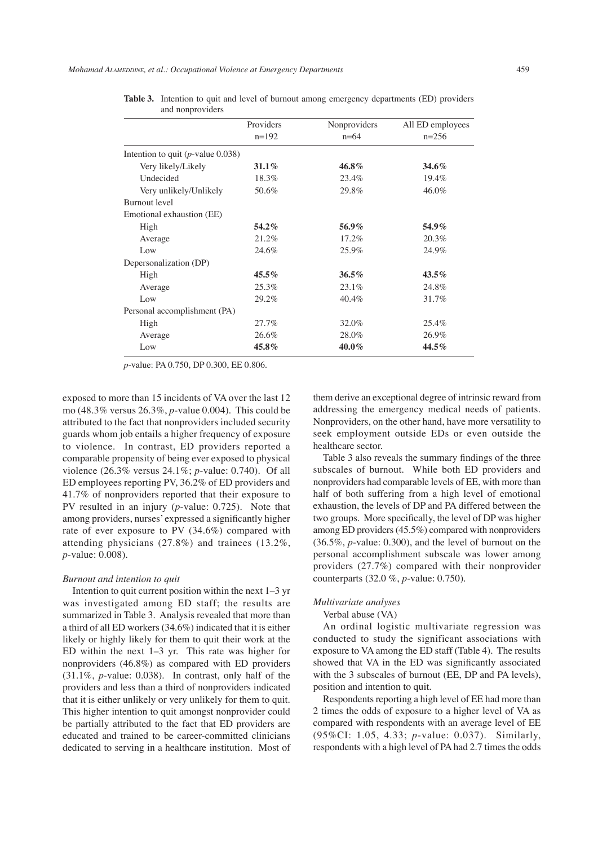*Mohamad Alameddine, et al.: Occupational Violence at Emergency Departments* 459

| and nonproviders                     |           |              |                  |  |
|--------------------------------------|-----------|--------------|------------------|--|
|                                      | Providers | Nonproviders | All ED employees |  |
|                                      | $n=192$   | $n=64$       | $n=256$          |  |
| Intention to quit $(p$ -value 0.038) |           |              |                  |  |
| Very likely/Likely                   | $31.1\%$  | 46.8%        | 34.6%            |  |
| Undecided                            | 18.3%     | 23.4%        | 19.4%            |  |
| Very unlikely/Unlikely               | 50.6%     | 29.8%        | 46.0%            |  |
| <b>Burnout</b> level                 |           |              |                  |  |
| Emotional exhaustion (EE)            |           |              |                  |  |
| High                                 | 54.2%     | 56.9%        | 54.9%            |  |
| Average                              | 21.2%     | 17.2%        | 20.3%            |  |
| Low                                  | 24.6%     | 25.9%        | 24.9%            |  |
| Depersonalization (DP)               |           |              |                  |  |
| High                                 | $45.5\%$  | $36.5\%$     | $43.5\%$         |  |
| Average                              | 25.3%     | 23.1%        | 24.8%            |  |
| Low                                  | 29.2%     | 40.4%        | 31.7%            |  |
| Personal accomplishment (PA)         |           |              |                  |  |
| High                                 | 27.7%     | 32.0%        | 25.4%            |  |
| Average                              | 26.6%     | 28.0%        | 26.9%            |  |
| Low                                  | 45.8%     | $40.0\%$     | 44.5%            |  |
|                                      |           |              |                  |  |

**Table 3.** Intention to quit and level of burnout among emergency departments (ED) providers and nonproviders

*p*-value: PA 0.750, DP 0.300, EE 0.806.

exposed to more than 15 incidents of VA over the last 12 mo (48.3% versus 26.3%, *p*-value 0.004). This could be attributed to the fact that nonproviders included security guards whom job entails a higher frequency of exposure to violence. In contrast, ED providers reported a comparable propensity of being ever exposed to physical violence (26.3% versus 24.1%; *p*-value: 0.740). Of all ED employees reporting PV, 36.2% of ED providers and 41.7% of nonproviders reported that their exposure to PV resulted in an injury (*p*-value: 0.725). Note that among providers, nurses' expressed a significantly higher rate of ever exposure to PV (34.6%) compared with attending physicians (27.8%) and trainees (13.2%, *p*-value: 0.008).

#### *Burnout and intention to quit*

Intention to quit current position within the next 1–3 yr was investigated among ED staff; the results are summarized in Table 3. Analysis revealed that more than a third of all ED workers (34.6%) indicated that it is either likely or highly likely for them to quit their work at the ED within the next 1–3 yr. This rate was higher for nonproviders (46.8%) as compared with ED providers (31.1%, *p*-value: 0.038). In contrast, only half of the providers and less than a third of nonproviders indicated that it is either unlikely or very unlikely for them to quit. This higher intention to quit amongst nonprovider could be partially attributed to the fact that ED providers are educated and trained to be career-committed clinicians dedicated to serving in a healthcare institution. Most of them derive an exceptional degree of intrinsic reward from addressing the emergency medical needs of patients. Nonproviders, on the other hand, have more versatility to seek employment outside EDs or even outside the healthcare sector.

Table 3 also reveals the summary findings of the three subscales of burnout. While both ED providers and nonproviders had comparable levels of EE, with more than half of both suffering from a high level of emotional exhaustion, the levels of DP and PA differed between the two groups. More specifically, the level of DP was higher among ED providers (45.5%) compared with nonproviders (36.5%, *p*-value: 0.300), and the level of burnout on the personal accomplishment subscale was lower among providers (27.7%) compared with their nonprovider counterparts (32.0 %, *p*-value: 0.750).

## *Multivariate analyses*

## Verbal abuse (VA)

An ordinal logistic multivariate regression was conducted to study the significant associations with exposure to VA among the ED staff (Table 4). The results showed that VA in the ED was significantly associated with the 3 subscales of burnout (EE, DP and PA levels), position and intention to quit.

Respondents reporting a high level of EE had more than 2 times the odds of exposure to a higher level of VA as compared with respondents with an average level of EE (95%CI: 1.05, 4.33; *p*-value: 0.037). Similarly, respondents with a high level of PA had 2.7 times the odds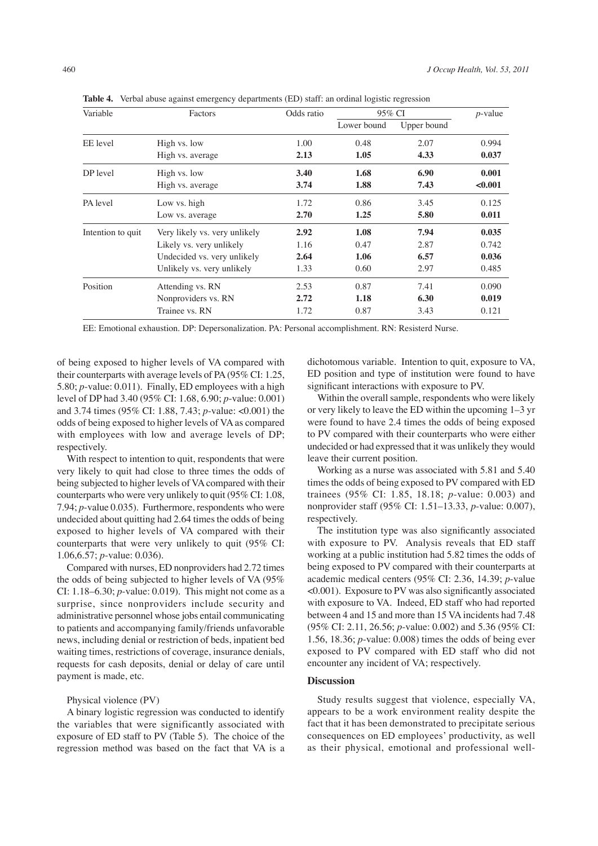**Table 4.** Verbal abuse against emergency departments (ED) staff: an ordinal logistic regression

| Variable          | Factors                       | Odds ratio | 95% CI      | $p$ -value  |         |
|-------------------|-------------------------------|------------|-------------|-------------|---------|
|                   |                               |            | Lower bound | Upper bound |         |
| EE level          | High vs. low                  | 1.00       | 0.48        | 2.07        | 0.994   |
|                   | High vs. average              | 2.13       | 1.05        | 4.33        | 0.037   |
| DP level          | High vs. low                  | 3.40       | 1.68        | 6.90        | 0.001   |
|                   | High vs. average              | 3.74       | 1.88        | 7.43        | < 0.001 |
| PA level          | Low vs. high                  | 1.72       | 0.86        | 3.45        | 0.125   |
|                   | Low vs. average               | 2.70       | 1.25        | 5.80        | 0.011   |
| Intention to quit | Very likely vs. very unlikely | 2.92       | 1.08        | 7.94        | 0.035   |
|                   | Likely vs. very unlikely      | 1.16       | 0.47        | 2.87        | 0.742   |
|                   | Undecided vs. very unlikely   | 2.64       | 1.06        | 6.57        | 0.036   |
|                   | Unlikely vs. very unlikely    | 1.33       | 0.60        | 2.97        | 0.485   |
| Position          | Attending vs. RN              | 2.53       | 0.87        | 7.41        | 0.090   |
|                   | Nonproviders vs. RN           | 2.72       | 1.18        | 6.30        | 0.019   |
|                   | Trainee vs. RN                | 1.72       | 0.87        | 3.43        | 0.121   |

EE: Emotional exhaustion. DP: Depersonalization. PA: Personal accomplishment. RN: Resisterd Nurse.

of being exposed to higher levels of VA compared with their counterparts with average levels of PA (95% CI: 1.25, 5.80; *p*-value: 0.011). Finally, ED employees with a high level of DP had 3.40 (95% CI: 1.68, 6.90; *p*-value: 0.001) and 3.74 times (95% CI: 1.88, 7.43; *p*-value: <0.001) the odds of being exposed to higher levels of VA as compared with employees with low and average levels of DP; respectively.

With respect to intention to quit, respondents that were very likely to quit had close to three times the odds of being subjected to higher levels of VA compared with their counterparts who were very unlikely to quit (95% CI: 1.08, 7.94; *p*-value 0.035). Furthermore, respondents who were undecided about quitting had 2.64 times the odds of being exposed to higher levels of VA compared with their counterparts that were very unlikely to quit (95% CI: 1.06,6.57; *p*-value: 0.036).

Compared with nurses, ED nonproviders had 2.72 times the odds of being subjected to higher levels of VA (95% CI: 1.18–6.30; *p*-value: 0.019). This might not come as a surprise, since nonproviders include security and administrative personnel whose jobs entail communicating to patients and accompanying family/friends unfavorable news, including denial or restriction of beds, inpatient bed waiting times, restrictions of coverage, insurance denials, requests for cash deposits, denial or delay of care until payment is made, etc.

Physical violence (PV)

A binary logistic regression was conducted to identify the variables that were significantly associated with exposure of ED staff to PV (Table 5). The choice of the regression method was based on the fact that VA is a

dichotomous variable. Intention to quit, exposure to VA, ED position and type of institution were found to have significant interactions with exposure to PV.

Within the overall sample, respondents who were likely or very likely to leave the ED within the upcoming 1–3 yr were found to have 2.4 times the odds of being exposed to PV compared with their counterparts who were either undecided or had expressed that it was unlikely they would leave their current position.

Working as a nurse was associated with 5.81 and 5.40 times the odds of being exposed to PV compared with ED trainees (95% CI: 1.85, 18.18; *p*-value: 0.003) and nonprovider staff (95% CI: 1.51–13.33, *p*-value: 0.007), respectively.

The institution type was also significantly associated with exposure to PV. Analysis reveals that ED staff working at a public institution had 5.82 times the odds of being exposed to PV compared with their counterparts at academic medical centers (95% CI: 2.36, 14.39; *p*-value <0.001). Exposure to PV was also significantly associated with exposure to VA. Indeed, ED staff who had reported between 4 and 15 and more than 15 VA incidents had 7.48 (95% CI: 2.11, 26.56; *p*-value: 0.002) and 5.36 (95% CI: 1.56, 18.36; *p*-value: 0.008) times the odds of being ever exposed to PV compared with ED staff who did not encounter any incident of VA; respectively.

## **Discussion**

Study results suggest that violence, especially VA, appears to be a work environment reality despite the fact that it has been demonstrated to precipitate serious consequences on ED employees' productivity, as well as their physical, emotional and professional well-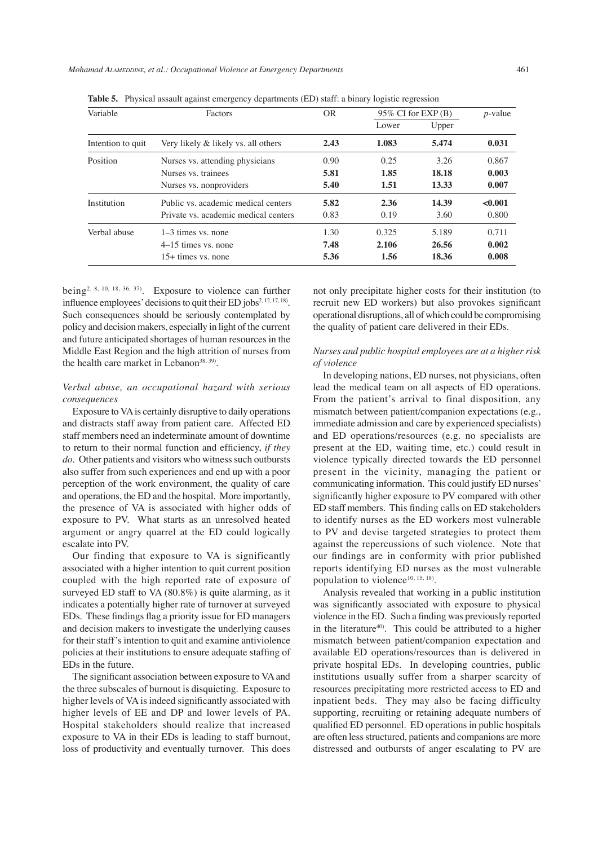| Variable          | Factors                              | <b>OR</b> | $95\%$ CI for EXP(B) |       | $p$ -value |
|-------------------|--------------------------------------|-----------|----------------------|-------|------------|
|                   |                                      |           | Lower                | Upper |            |
| Intention to quit | Very likely & likely vs. all others  | 2.43      | 1.083                | 5.474 | 0.031      |
| Position          | Nurses vs. attending physicians      | 0.90      | 0.25                 | 3.26  | 0.867      |
|                   | Nurses vs. trainees                  | 5.81      | 1.85                 | 18.18 | 0.003      |
|                   | Nurses vs. nonproviders              | 5.40      | 1.51                 | 13.33 | 0.007      |
| Institution       | Public vs. academic medical centers  | 5.82      | 2.36                 | 14.39 | < 0.001    |
|                   | Private vs. academic medical centers | 0.83      | 0.19                 | 3.60  | 0.800      |
| Verbal abuse      | $1-3$ times vs. none                 | 1.30      | 0.325                | 5.189 | 0.711      |
|                   | 4–15 times vs. none                  | 7.48      | 2.106                | 26.56 | 0.002      |
|                   | $15+$ times vs. none                 | 5.36      | 1.56                 | 18.36 | 0.008      |

**Table 5.** Physical assault against emergency departments (ED) staff: a binary logistic regression

being2, 8, 10, 18, 36, 37). Exposure to violence can further influence employees' decisions to quit their ED jobs<sup>2, 12, 17, 18</sup>. Such consequences should be seriously contemplated by policy and decision makers, especially in light of the current and future anticipated shortages of human resources in the Middle East Region and the high attrition of nurses from the health care market in Lebanon<sup>38, 39)</sup>.

## *Verbal abuse, an occupational hazard with serious consequences*

Exposure to VA is certainly disruptive to daily operations and distracts staff away from patient care. Affected ED staff members need an indeterminate amount of downtime to return to their normal function and efficiency, *if they do*. Other patients and visitors who witness such outbursts also suffer from such experiences and end up with a poor perception of the work environment, the quality of care and operations, the ED and the hospital. More importantly, the presence of VA is associated with higher odds of exposure to PV. What starts as an unresolved heated argument or angry quarrel at the ED could logically escalate into PV.

Our finding that exposure to VA is significantly associated with a higher intention to quit current position coupled with the high reported rate of exposure of surveyed ED staff to VA (80.8%) is quite alarming, as it indicates a potentially higher rate of turnover at surveyed EDs. These findings flag a priority issue for ED managers and decision makers to investigate the underlying causes for their staff's intention to quit and examine antiviolence policies at their institutions to ensure adequate staffing of EDs in the future.

The significant association between exposure to VA and the three subscales of burnout is disquieting. Exposure to higher levels of VA is indeed significantly associated with higher levels of EE and DP and lower levels of PA. Hospital stakeholders should realize that increased exposure to VA in their EDs is leading to staff burnout, loss of productivity and eventually turnover. This does

not only precipitate higher costs for their institution (to recruit new ED workers) but also provokes significant operational disruptions, all of which could be compromising the quality of patient care delivered in their EDs.

## *Nurses and public hospital employees are at a higher risk of violence*

In developing nations, ED nurses, not physicians, often lead the medical team on all aspects of ED operations. From the patient's arrival to final disposition, any mismatch between patient/companion expectations (e.g., immediate admission and care by experienced specialists) and ED operations/resources (e.g. no specialists are present at the ED, waiting time, etc.) could result in violence typically directed towards the ED personnel present in the vicinity, managing the patient or communicating information. This could justify ED nurses' significantly higher exposure to PV compared with other ED staff members. This finding calls on ED stakeholders to identify nurses as the ED workers most vulnerable to PV and devise targeted strategies to protect them against the repercussions of such violence. Note that our findings are in conformity with prior published reports identifying ED nurses as the most vulnerable population to violence<sup>10, 15, 18)</sup>.

Analysis revealed that working in a public institution was significantly associated with exposure to physical violence in the ED. Such a finding was previously reported in the literature<sup>40)</sup>. This could be attributed to a higher mismatch between patient/companion expectation and available ED operations/resources than is delivered in private hospital EDs. In developing countries, public institutions usually suffer from a sharper scarcity of resources precipitating more restricted access to ED and inpatient beds. They may also be facing difficulty supporting, recruiting or retaining adequate numbers of qualified ED personnel. ED operations in public hospitals are often less structured, patients and companions are more distressed and outbursts of anger escalating to PV are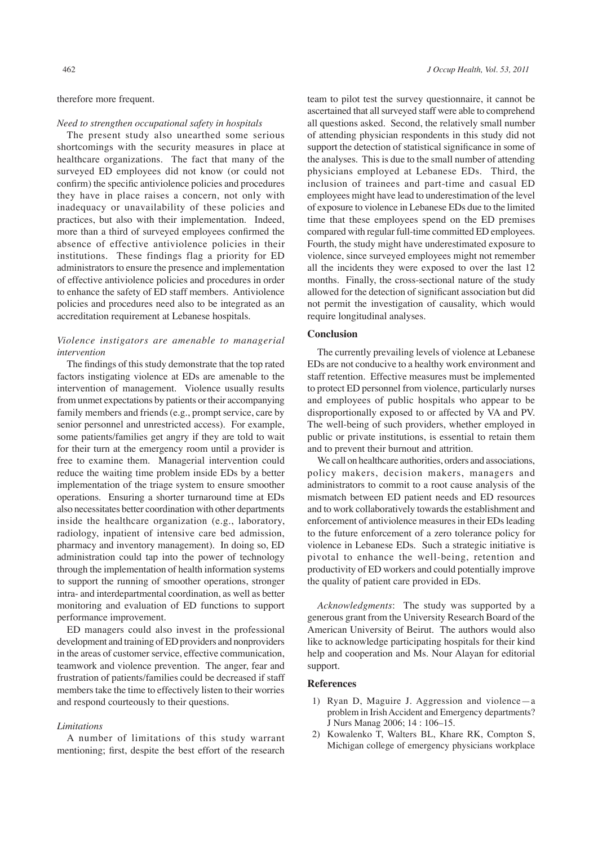## therefore more frequent.

#### *Need to strengthen occupational safety in hospitals*

The present study also unearthed some serious shortcomings with the security measures in place at healthcare organizations. The fact that many of the surveyed ED employees did not know (or could not confirm) the specific antiviolence policies and procedures they have in place raises a concern, not only with inadequacy or unavailability of these policies and practices, but also with their implementation. Indeed, more than a third of surveyed employees confirmed the absence of effective antiviolence policies in their institutions. These findings flag a priority for ED administrators to ensure the presence and implementation of effective antiviolence policies and procedures in order to enhance the safety of ED staff members. Antiviolence policies and procedures need also to be integrated as an accreditation requirement at Lebanese hospitals.

## *Violence instigators are amenable to managerial intervention*

The findings of this study demonstrate that the top rated factors instigating violence at EDs are amenable to the intervention of management. Violence usually results from unmet expectations by patients or their accompanying family members and friends (e.g., prompt service, care by senior personnel and unrestricted access). For example, some patients/families get angry if they are told to wait for their turn at the emergency room until a provider is free to examine them. Managerial intervention could reduce the waiting time problem inside EDs by a better implementation of the triage system to ensure smoother operations. Ensuring a shorter turnaround time at EDs also necessitates better coordination with other departments inside the healthcare organization (e.g., laboratory, radiology, inpatient of intensive care bed admission, pharmacy and inventory management). In doing so, ED administration could tap into the power of technology through the implementation of health information systems to support the running of smoother operations, stronger intra- and interdepartmental coordination, as well as better monitoring and evaluation of ED functions to support performance improvement.

ED managers could also invest in the professional development and training of ED providers and nonproviders in the areas of customer service, effective communication, teamwork and violence prevention. The anger, fear and frustration of patients/families could be decreased if staff members take the time to effectively listen to their worries and respond courteously to their questions.

### *Limitations*

A number of limitations of this study warrant mentioning; first, despite the best effort of the research

team to pilot test the survey questionnaire, it cannot be ascertained that all surveyed staff were able to comprehend all questions asked. Second, the relatively small number of attending physician respondents in this study did not support the detection of statistical significance in some of the analyses. This is due to the small number of attending physicians employed at Lebanese EDs. Third, the inclusion of trainees and part-time and casual ED employees might have lead to underestimation of the level of exposure to violence in Lebanese EDs due to the limited time that these employees spend on the ED premises compared with regular full-time committed ED employees. Fourth, the study might have underestimated exposure to violence, since surveyed employees might not remember all the incidents they were exposed to over the last 12 months. Finally, the cross-sectional nature of the study allowed for the detection of significant association but did not permit the investigation of causality, which would require longitudinal analyses.

## **Conclusion**

The currently prevailing levels of violence at Lebanese EDs are not conducive to a healthy work environment and staff retention. Effective measures must be implemented to protect ED personnel from violence, particularly nurses and employees of public hospitals who appear to be disproportionally exposed to or affected by VA and PV. The well-being of such providers, whether employed in public or private institutions, is essential to retain them and to prevent their burnout and attrition.

We call on healthcare authorities, orders and associations, policy makers, decision makers, managers and administrators to commit to a root cause analysis of the mismatch between ED patient needs and ED resources and to work collaboratively towards the establishment and enforcement of antiviolence measures in their EDs leading to the future enforcement of a zero tolerance policy for violence in Lebanese EDs. Such a strategic initiative is pivotal to enhance the well-being, retention and productivity of ED workers and could potentially improve the quality of patient care provided in EDs.

*Acknowledgments*: The study was supported by a generous grant from the University Research Board of the American University of Beirut. The authors would also like to acknowledge participating hospitals for their kind help and cooperation and Ms. Nour Alayan for editorial support.

#### **References**

- 1) Ryan D, Maguire J. Aggression and violence—a problem in Irish Accident and Emergency departments? J Nurs Manag 2006; 14 : 106–15.
- 2) Kowalenko T, Walters BL, Khare RK, Compton S, Michigan college of emergency physicians workplace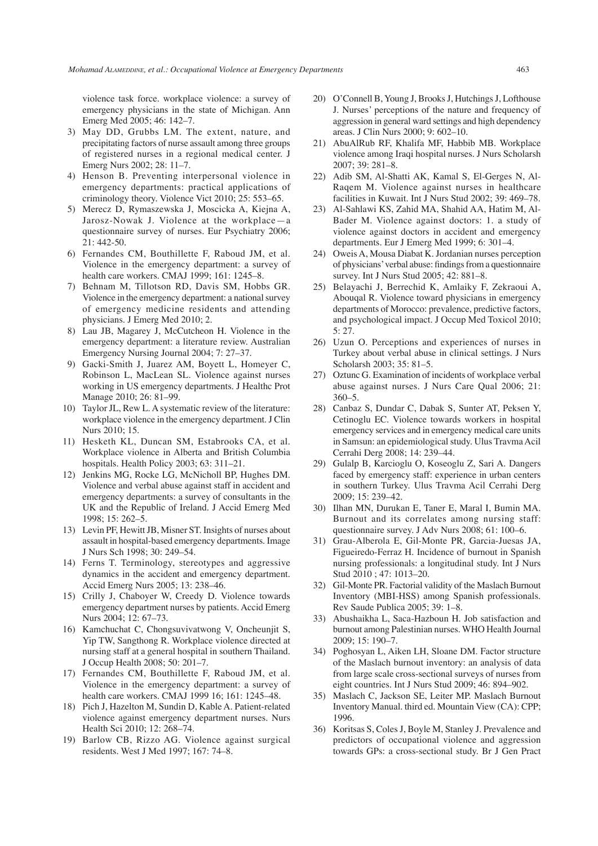violence task force. workplace violence: a survey of emergency physicians in the state of Michigan. Ann Emerg Med 2005; 46: 142–7.

- 3) May DD, Grubbs LM. The extent, nature, and precipitating factors of nurse assault among three groups of registered nurses in a regional medical center. J Emerg Nurs 2002; 28: 11–7.
- 4) Henson B. Preventing interpersonal violence in emergency departments: practical applications of criminology theory. Violence Vict 2010; 25: 553–65.
- 5) Merecz D, Rymaszewska J, Moscicka A, Kiejna A, Jarosz-Nowak J. Violence at the workplace—a questionnaire survey of nurses. Eur Psychiatry 2006; 21: 442-50.
- 6) Fernandes CM, Bouthillette F, Raboud JM, et al. Violence in the emergency department: a survey of health care workers. CMAJ 1999; 161: 1245–8.
- 7) Behnam M, Tillotson RD, Davis SM, Hobbs GR. Violence in the emergency department: a national survey of emergency medicine residents and attending physicians. J Emerg Med 2010; 2.
- 8) Lau JB, Magarey J, McCutcheon H. Violence in the emergency department: a literature review. Australian Emergency Nursing Journal 2004; 7: 27–37.
- 9) Gacki-Smith J, Juarez AM, Boyett L, Homeyer C, Robinson L, MacLean SL. Violence against nurses working in US emergency departments. J Healthc Prot Manage 2010; 26: 81–99.
- 10) Taylor JL, Rew L. A systematic review of the literature: workplace violence in the emergency department. J Clin Nurs 2010; 15.
- 11) Hesketh KL, Duncan SM, Estabrooks CA, et al. Workplace violence in Alberta and British Columbia hospitals. Health Policy 2003; 63: 311–21.
- 12) Jenkins MG, Rocke LG, McNicholl BP, Hughes DM. Violence and verbal abuse against staff in accident and emergency departments: a survey of consultants in the UK and the Republic of Ireland. J Accid Emerg Med 1998; 15: 262–5.
- 13) Levin PF, Hewitt JB, Misner ST. Insights of nurses about assault in hospital-based emergency departments. Image J Nurs Sch 1998; 30: 249–54.
- 14) Ferns T. Terminology, stereotypes and aggressive dynamics in the accident and emergency department. Accid Emerg Nurs 2005; 13: 238–46.
- 15) Crilly J, Chaboyer W, Creedy D. Violence towards emergency department nurses by patients. Accid Emerg Nurs 2004; 12: 67–73.
- 16) Kamchuchat C, Chongsuvivatwong V, Oncheunjit S, Yip TW, Sangthong R. Workplace violence directed at nursing staff at a general hospital in southern Thailand. J Occup Health 2008; 50: 201–7.
- 17) Fernandes CM, Bouthillette F, Raboud JM, et al. Violence in the emergency department: a survey of health care workers. CMAJ 1999 16; 161: 1245–48.
- 18) Pich J, Hazelton M, Sundin D, Kable A. Patient-related violence against emergency department nurses. Nurs Health Sci 2010; 12: 268–74.
- 19) Barlow CB, Rizzo AG. Violence against surgical residents. West J Med 1997; 167: 74–8.
- 20) O'Connell B, Young J, Brooks J, Hutchings J, Lofthouse J. Nurses' perceptions of the nature and frequency of aggression in general ward settings and high dependency areas. J Clin Nurs 2000; 9: 602–10.
- 21) AbuAlRub RF, Khalifa MF, Habbib MB. Workplace violence among Iraqi hospital nurses. J Nurs Scholarsh 2007; 39: 281–8.
- 22) Adib SM, Al-Shatti AK, Kamal S, El-Gerges N, Al-Raqem M. Violence against nurses in healthcare facilities in Kuwait. Int J Nurs Stud 2002; 39: 469–78.
- 23) Al-Sahlawi KS, Zahid MA, Shahid AA, Hatim M, Al-Bader M. Violence against doctors: 1. a study of violence against doctors in accident and emergency departments. Eur J Emerg Med 1999; 6: 301–4.
- 24) Oweis A, Mousa Diabat K. Jordanian nurses perception of physicians' verbal abuse: findings from a questionnaire survey. Int J Nurs Stud 2005; 42: 881–8.
- 25) Belayachi J, Berrechid K, Amlaiky F, Zekraoui A, Abouqal R. Violence toward physicians in emergency departments of Morocco: prevalence, predictive factors, and psychological impact. J Occup Med Toxicol 2010; 5: 27.
- 26) Uzun O. Perceptions and experiences of nurses in Turkey about verbal abuse in clinical settings. J Nurs Scholarsh 2003; 35: 81–5.
- 27) Oztunc G. Examination of incidents of workplace verbal abuse against nurses. J Nurs Care Qual 2006; 21:  $360 - 5$ .
- 28) Canbaz S, Dundar C, Dabak S, Sunter AT, Peksen Y, Cetinoglu EC. Violence towards workers in hospital emergency services and in emergency medical care units in Samsun: an epidemiological study. Ulus Travma Acil Cerrahi Derg 2008; 14: 239–44.
- 29) Gulalp B, Karcioglu O, Koseoglu Z, Sari A. Dangers faced by emergency staff: experience in urban centers in southern Turkey. Ulus Travma Acil Cerrahi Derg 2009; 15: 239–42.
- 30) Ilhan MN, Durukan E, Taner E, Maral I, Bumin MA. Burnout and its correlates among nursing staff: questionnaire survey. J Adv Nurs 2008; 61: 100–6.
- 31) Grau-Alberola E, Gil-Monte PR, Garcia-Juesas JA, Figueiredo-Ferraz H. Incidence of burnout in Spanish nursing professionals: a longitudinal study. Int J Nurs Stud 2010 ; 47: 1013–20.
- 32) Gil-Monte PR. Factorial validity of the Maslach Burnout Inventory (MBI-HSS) among Spanish professionals. Rev Saude Publica 2005; 39: 1–8.
- 33) Abushaikha L, Saca-Hazboun H. Job satisfaction and burnout among Palestinian nurses. WHO Health Journal 2009; 15: 190–7.
- 34) Poghosyan L, Aiken LH, Sloane DM. Factor structure of the Maslach burnout inventory: an analysis of data from large scale cross-sectional surveys of nurses from eight countries. Int J Nurs Stud 2009; 46: 894–902.
- 35) Maslach C, Jackson SE, Leiter MP. Maslach Burnout Inventory Manual. third ed. Mountain View (CA): CPP; 1996.
- 36) Koritsas S, Coles J, Boyle M, Stanley J. Prevalence and predictors of occupational violence and aggression towards GPs: a cross-sectional study. Br J Gen Pract